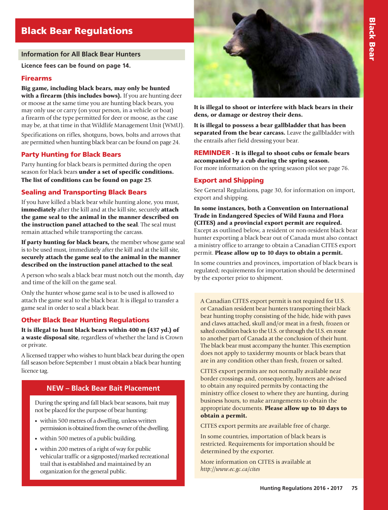# Black Bear Regulations

#### **Information for All Black Bear Hunters**

**Licence fees can be found on page 14.**

## Firearms

Big game, including black bears, may only be hunted with a firearm (this includes bows). If you are hunting deer or moose at the same time you are hunting black bears, you may only use or carry (on your person, in a vehicle or boat) a firearm of the type permitted for deer or moose, as the case may be, at that time in that Wildlife Management Unit (WMU). Specifications on rifles, shotguns, bows, bolts and arrows that are permitted when hunting black bear can be found on page 24.

## Party Hunting for Black Bears

Party hunting for black bears is permitted during the open season for black bears under a set of specific conditions. The list of conditions can be found on page 25.

## Sealing and Transporting Black Bears

If you have killed a black bear while hunting alone, you must, immediately after the kill and at the kill site, securely attach the game seal to the animal in the manner described on the instruction panel attached to the seal. The seal must remain attached while transporting the carcass.

If party hunting for black bears, the member whose game seal is to be used must, immediately after the kill and at the kill site, securely attach the game seal to the animal in the manner described on the instruction panel attached to the seal.

A person who seals a black bear must notch out the month, day and time of the kill on the game seal.

Only the hunter whose game seal is to be used is allowed to attach the game seal to the black bear. It is illegal to transfer a game seal in order to seal a black bear.

## Other Black Bear Hunting Regulations

It is illegal to hunt black bears within 400 m (437 yd.) of a waste disposal site, regardless of whether the land is Crown or private.

A licensed trapper who wishes to hunt black bear during the open fall season before September 1 must obtain a black bear hunting licence tag.

## **NEW – Black Bear Bait Placement**

During the spring and fall black bear seasons, bait may not be placed for the purpose of bear hunting:

- within 500 metres of a dwelling, unless written permission is obtained from the owner of the dwelling.
- within 500 metres of a public building.
- within 200 metres of a right of way for public vehicular traffic or a signposted/marked recreational trail that is established and maintained by an organization for the general public.



It is illegal to shoot or interfere with black bears in their dens, or damage or destroy their dens.

It is illegal to possess a bear gallbladder that has been separated from the bear carcass. Leave the gallbladder with the entrails after field dressing your bear.

REMINDER - It is illegal to shoot cubs or female bears accompanied by a cub during the spring season. For more information on the spring season pilot see page 76.

## Export and Shipping

See General Regulations, page 30, for information on import, export and shipping.

In some instances, both a Convention on International Trade in Endangered Species of Wild Fauna and Flora (CITES) and a provincial export permit are required. Except as outlined below, a resident or non-resident black bear hunter exporting a black bear out of Canada must also contact a ministry office to arrange to obtain a Canadian CITES export permit. Please allow up to 10 days to obtain a permit.

In some countries and provinces, importation of black bears is regulated; requirements for importation should be determined by the exporter prior to shipment.

A Canadian CITES export permit is not required for U.S. or Canadian resident bear hunters transporting their black bear hunting trophy consisting of the hide, hide with paws and claws attached, skull and/or meat in a fresh, frozen or salted condition back to the U.S. or through the U.S. en route to another part of Canada at the conclusion of their hunt. The black bear must accompany the hunter. This exemption does not apply to taxidermy mounts or black bears that are in any condition other than fresh, frozen or salted.

CITES export permits are not normally available near border crossings and, consequently, hunters are advised to obtain any required permits by contacting the ministry office closest to where they are hunting, during business hours, to make arrangements to obtain the appropriate documents. Please allow up to 10 days to obtain a permit.

CITES export permits are available free of charge.

In some countries, importation of black bears is restricted. Requirements for importation should be determined by the exporter.

More information on CITES is available at *http://www.ec.gc.ca/cites*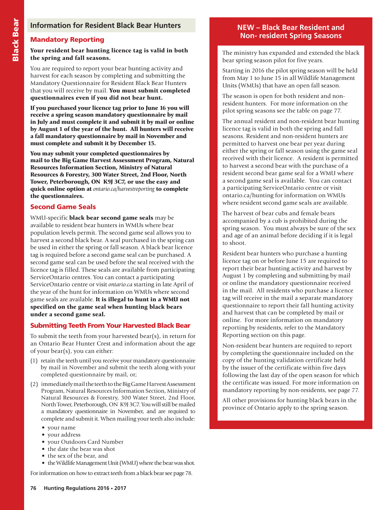## Mandatory Reporting

Your resident bear hunting licence tag is valid in both the spring and fall seasons.

You are required to report your bear hunting activity and harvest for each season by completing and submitting the Mandatory Questionnaire for Resident Black Bear Hunters that you will receive by mail. You must submit completed questionnaires even if you did not bear hunt.

If you purchased your licence tag prior to June 16 you will receive a spring season mandatory questionnaire by mail in July and must complete it and submit it by mail or online by August 1 of the year of the hunt. All hunters will receive a fall mandatory questionnaire by mail in November and must complete and submit it by December 15.

You may submit your completed questionnaires by mail to the Big Game Harvest Assessment Program, Natural Resources Information Section, Ministry of Natural Resources & Forestry, 300 Water Street, 2nd Floor, North Tower, Peterborough, ON K9J 3C7, or use the easy and quick online option at *ontario.ca/harvestreporting* to complete the questionnaires.

## Second Game Seals

WMU-specific black bear second game seals may be available to resident bear hunters in WMUs where bear population levels permit. The second game seal allows you to harvest a second black bear. A seal purchased in the spring can be used in either the spring or fall season. A black bear licence tag is required before a second game seal can be purchased. A second game seal can be used before the seal received with the licence tag is filled. These seals are available from participating ServiceOntario centres. You can contact a participating ServiceOntario centre or visit *ontario.ca* starting in late April of the year of the hunt for information on WMUs where second game seals are available. It is illegal to hunt in a WMU not specified on the game seal when hunting black bears under a second game seal.

## Submitting Teeth From Your Harvested Black Bear

To submit the teeth from your harvested bear(s), in return for an Ontario Bear Hunter Crest and information about the age of your bear(s), you can either:

- (1) retain the teeth until you receive your mandatory questionnaire by mail in November and submit the teeth along with your completed questionnaire by mail, or;
- (2) immediately mail the teeth to the Big Game Harvest Assessment Program, Natural Resources Information Section, Ministry of Natural Resources & Forestry, 300 Water Street, 2nd Floor, North Tower, Peterborough, ON K9J 3C7. You will still be mailed a mandatory questionnaire in November, and are required to complete and submit it. When mailing your teeth also include:
	- your name
	- your address
	- your Outdoors Card Number
	- the date the bear was shot
	- the sex of the bear, and
	- the Wildlife Management Unit (WMU) where the bear was shot.

#### For information on how to extract teeth from a black bear see page 78.

## **NEW – Black Bear Resident and Non- resident Spring Seasons**

The ministry has expanded and extended the black bear spring season pilot for five years.

Starting in 2016 the pilot spring season will be held from May 1 to June 15 in all Wildlife Management Units (WMUs) that have an open fall season.

The season is open for both resident and nonresident hunters. For more information on the pilot spring seasons see the table on page 77.

The annual resident and non-resident bear hunting licence tag is valid in both the spring and fall seasons. Resident and non-resident hunters are permitted to harvest one bear per year during either the spring or fall season using the game seal received with their licence. A resident is permitted to harvest a second bear with the purchase of a resident second bear game seal for a WMU where a second game seal is available. You can contact a participating ServiceOntario centre or visit ontario.ca/hunting for information on WMUs where resident second game seals are available.

The harvest of bear cubs and female bears accompanied by a cub is prohibited during the spring season. You must always be sure of the sex and age of an animal before deciding if it is legal to shoot.

Resident bear hunters who purchase a hunting licence tag on or before June 15 are required to report their bear hunting activity and harvest by August 1 by completing and submitting by mail or online the mandatory questionnaire received in the mail. All residents who purchase a licence tag will receive in the mail a separate mandatory questionnaire to report their fall hunting activity and harvest that can be completed by mail or online. For more information on mandatory reporting by residents, refer to the Mandatory Reporting section on this page.

Non-resident bear hunters are required to report by completing the questionnaire included on the copy of the hunting validation certificate held by the issuer of the certificate within five days following the last day of the open season for which the certificate was issued. For more information on mandatory reporting by non-residents, see page 77.

All other provisions for hunting black bears in the province of Ontario apply to the spring season.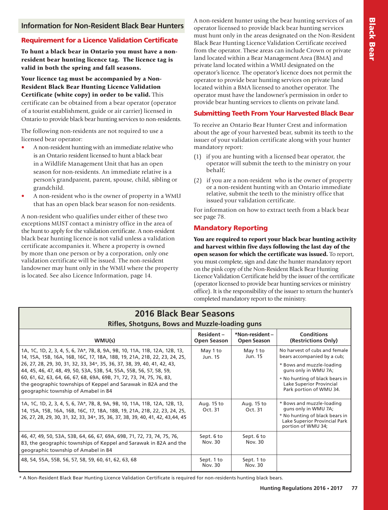## **Information for Non-Resident Black Bear Hunters**

## Requirement for a Licence Validation Certificate

To hunt a black bear in Ontario you must have a nonresident bear hunting licence tag. The licence tag is valid in both the spring and fall seasons.

Your licence tag must be accompanied by a Non-Resident Black Bear Hunting Licence Validation Certificate (white copy) in order to be valid. This certificate can be obtained from a bear operator (operator of a tourist establishment, guide or air carrier) licensed in Ontario to provide black bear hunting services to non-residents.

The following non-residents are not required to use a licensed bear operator:

- A non-resident hunting with an immediate relative who is an Ontario resident licensed to hunt a black bear in a Wildlife Management Unit that has an open season for non-residents. An immediate relative is a person's grandparent, parent, spouse, child, sibling or grandchild.
- A non-resident who is the owner of property in a WMU that has an open black bear season for non-residents.

A non-resident who qualifies under either of these two exceptions MUST contact a ministry office in the area of the hunt to apply for the validation certificate. A non-resident black bear hunting licence is not valid unless a validation certificate accompanies it. Where a property is owned by more than one person or by a corporation, only one validation certificate will be issued. The non-resident landowner may hunt only in the WMU where the property is located. See also Licence Information, page 14.

A non-resident hunter using the bear hunting services of an operator licensed to provide black bear hunting services must hunt only in the areas designated on the Non-Resident Black Bear Hunting Licence Validation Certificate received from the operator. These areas can include Crown or private land located within a Bear Management Area (BMA) and private land located within a WMU designated on the operator's licence. The operator's licence does not permit the operator to provide bear hunting services on private land located within a BMA licensed to another operator. The operator must have the landowner's permission in order to provide bear hunting services to clients on private land.

#### Submitting Teeth From Your Harvested Black Bear

To receive an Ontario Bear Hunter Crest and information about the age of your harvested bear, submit its teeth to the issuer of your validation certificate along with your hunter mandatory report:

- (1) if you are hunting with a licensed bear operator, the operator will submit the teeth to the ministry on your behalf;
- (2) if you are a non-resident who is the owner of property or a non-resident hunting with an Ontario immediate relative, submit the teeth to the ministry office that issued your validation certificate.

For information on how to extract teeth from a black bear see page 78.

## Mandatory Reporting

You are required to report your black bear hunting activity and harvest within five days following the last day of the open season for which the certificate was issued. To report, you must complete, sign and date the hunter mandatory report on the pink copy of the Non-Resident Black Bear Hunting Licence Validation Certificate held by the issuer of the certificate (operator licensed to provide bear hunting services or ministry office). It is the responsibility of the issuer to return the hunter's completed mandatory report to the ministry.

| <b>2016 Black Bear Seasons</b><br><b>Rifles, Shotguns, Bows and Muzzle-loading guns</b>                                                                                                                                                                                                                                                                                                                                                                                                                 |                                 |                                      |                                                                                                                                                                                                            |
|---------------------------------------------------------------------------------------------------------------------------------------------------------------------------------------------------------------------------------------------------------------------------------------------------------------------------------------------------------------------------------------------------------------------------------------------------------------------------------------------------------|---------------------------------|--------------------------------------|------------------------------------------------------------------------------------------------------------------------------------------------------------------------------------------------------------|
| WMU(s)                                                                                                                                                                                                                                                                                                                                                                                                                                                                                                  | Resident-<br><b>Open Season</b> | *Non-resident-<br><b>Open Season</b> | <b>Conditions</b><br>(Restrictions Only)                                                                                                                                                                   |
| 1A, 1C, 1D, 2, 3, 4, 5, 6, 7A*, 7B, 8, 9A, 9B, 10, 11A, 11B, 12A, 12B, 13,<br>14, 15A, 15B, 16A, 16B, 16C, 17, 18A, 18B, 19, 21A, 21B, 22, 23, 24, 25,<br>26, 27, 28, 29, 30, 31, 32, 33, 34 <sup>+</sup> , 35, 36, 37, 38, 39, 40, 41, 42, 43,<br>44, 45, 46, 47, 48, 49, 50, 53A, 53B, 54, 55A, 55B, 56, 57, 58, 59,<br>60, 61, 62, 63, 64, 66, 67, 68, 69A, 69B, 71, 72, 73, 74, 75, 76, 83,<br>the geographic townships of Keppel and Sarawak in 82A and the<br>geographic township of Amabel in 84 | May 1 to<br>Jun. 15             | May 1 to<br>Jun. 15                  | No harvest of cubs and female<br>bears accompanied by a cub;<br>* Bows and muzzle-loading<br>guns only in WMU 7A;<br>+ No hunting of black bears in<br>Lake Superior Provincial<br>Park portion of WMU 34. |
| 1A, 1C, 1D, 2, 3, 4, 5, 6, 7A*, 7B, 8, 9A, 9B, 10, 11A, 11B, 12A, 12B, 13,<br>14, 15A, 15B, 16A, 16B, 16C, 17, 18A, 18B, 19, 21A, 21B, 22, 23, 24, 25,<br>26, 27, 28, 29, 30, 31, 32, 33, 34+, 35, 36, 37, 38, 39, 40, 41, 42, 43, 44, 45                                                                                                                                                                                                                                                               | Aug. 15 to<br>Oct. 31           | Aug. 15 to<br>Oct. 31                | * Bows and muzzle-loading<br>guns only in WMU 7A;<br>+ No hunting of black bears in<br>Lake Superior Provincial Park<br>portion of WMU 34;                                                                 |
| 46, 47, 49, 50, 53A, 53B, 64, 66, 67, 69A, 69B, 71, 72, 73, 74, 75, 76,<br>83, the geographic townships of Keppel and Sarawak in 82A and the<br>geographic township of Amabel in 84                                                                                                                                                                                                                                                                                                                     | Sept. 6 to<br>Nov. 30           | Sept. 6 to<br>Nov. 30                |                                                                                                                                                                                                            |
| 48, 54, 55A, 55B, 56, 57, 58, 59, 60, 61, 62, 63, 68                                                                                                                                                                                                                                                                                                                                                                                                                                                    | Sept. 1 to<br>Nov. 30           | Sept. 1 to<br>Nov. 30                |                                                                                                                                                                                                            |

\* A Non-Resident Black Bear Hunting Licence Validation Certificate is required for non-residents hunting black bears.